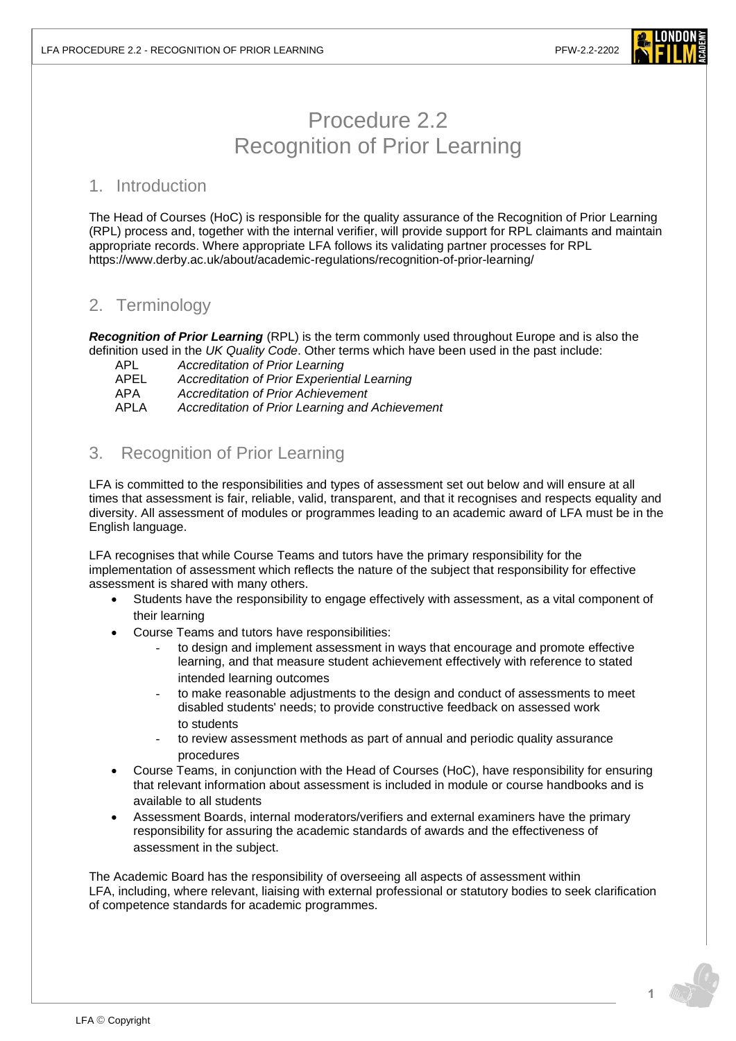

# Procedure 2.2 Recognition of Prior Learning

#### 1. Introduction

The Head of Courses (HoC) is responsible for the quality assurance of the Recognition of Prior Learning (RPL) process and, together with the internal verifier, will provide support for RPL claimants and maintain appropriate records. Where appropriate LFA follows its validating partner processes for RPL <https://www.derby.ac.uk/about/academic-regulations/recognition-of-prior-learning/>

## 2. Terminology

*Recognition of Prior Learning* (RPL) is the term commonly used throughout Europe and is also the definition used in the *UK Quality Code*. Other terms which have been used in the past include:

APL *Accreditation of Prior Learning*

APEL *Accreditation of Prior Experiential Learning*

APA *Accreditation of Prior Achievement*

APLA *Accreditation of Prior Learning and Achievement*

### 3. Recognition of Prior Learning

LFA is committed to the responsibilities and types of assessment set out below and will ensure at all times that assessment is fair, reliable, valid, transparent, and that it recognises and respects equality and diversity. All assessment of modules or programmes leading to an academic award of LFA must be in the English language.

LFA recognises that while Course Teams and tutors have the primary responsibility for the implementation of assessment which reflects the nature of the subject that responsibility for effective assessment is shared with many others.

- Students have the responsibility to engage effectively with assessment, as a vital component of their learning
- Course Teams and tutors have responsibilities:
	- to design and implement assessment in ways that encourage and promote effective learning, and that measure student achievement effectively with reference to stated intended learning outcomes
	- to make reasonable adjustments to the design and conduct of assessments to meet disabled students' needs; to provide constructive feedback on assessed work to students
	- to review assessment methods as part of annual and periodic quality assurance procedures
- Course Teams, in conjunction with the Head of Courses (HoC), have responsibility for ensuring that relevant information about assessment is included in module or course handbooks and is available to all students
- Assessment Boards, internal moderators/verifiers and external examiners have the primary responsibility for assuring the academic standards of awards and the effectiveness of assessment in the subject.

The Academic Board has the responsibility of overseeing all aspects of assessment within LFA, including, where relevant, liaising with external professional or statutory bodies to seek clarification of competence standards for academic programmes.